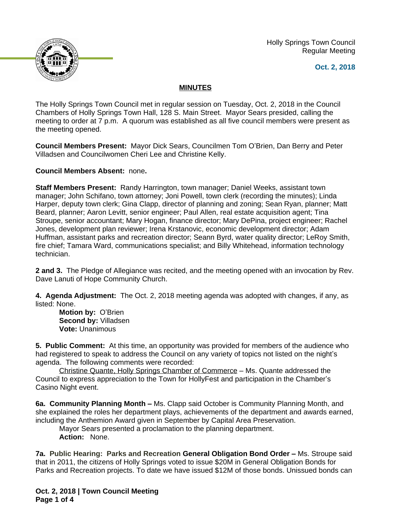Holly Springs Town Council Regular Meeting





## **MINUTES**

The Holly Springs Town Council met in regular session on Tuesday, Oct. 2, 2018 in the Council Chambers of Holly Springs Town Hall, 128 S. Main Street. Mayor Sears presided, calling the meeting to order at 7 p.m. A quorum was established as all five council members were present as the meeting opened.

**Council Members Present:** Mayor Dick Sears, Councilmen Tom O'Brien, Dan Berry and Peter Villadsen and Councilwomen Cheri Lee and Christine Kelly.

**Council Members Absent:** none**.**

**Staff Members Present:** Randy Harrington, town manager; Daniel Weeks, assistant town manager; John Schifano, town attorney; Joni Powell, town clerk (recording the minutes); Linda Harper, deputy town clerk; Gina Clapp, director of planning and zoning; Sean Ryan, planner; Matt Beard, planner; Aaron Levitt, senior engineer; Paul Allen, real estate acquisition agent; Tina Stroupe, senior accountant; Mary Hogan, finance director; Mary DePina, project engineer; Rachel Jones, development plan reviewer; Irena Krstanovic, economic development director; Adam Huffman, assistant parks and recreation director; Seann Byrd, water quality director; LeRoy Smith, fire chief; Tamara Ward, communications specialist; and Billy Whitehead, information technology technician.

**2 and 3.** The Pledge of Allegiance was recited, and the meeting opened with an invocation by Rev. Dave Lanuti of Hope Community Church.

**4. Agenda Adjustment:** The Oct. 2, 2018 meeting agenda was adopted with changes, if any, as listed: None.

**Motion by:** O'Brien **Second by:** Villadsen **Vote:** Unanimous

**5. Public Comment:** At this time, an opportunity was provided for members of the audience who had registered to speak to address the Council on any variety of topics not listed on the night's agenda. The following comments were recorded:

Christine Quante, Holly Springs Chamber of Commerce – Ms. Quante addressed the Council to express appreciation to the Town for HollyFest and participation in the Chamber's Casino Night event.

**6a. Community Planning Month –** Ms. Clapp said October is Community Planning Month, and she explained the roles her department plays, achievements of the department and awards earned, including the Anthemion Award given in September by Capital Area Preservation.

Mayor Sears presented a proclamation to the planning department. **Action:** None.

**7a. Public Hearing: Parks and Recreation General Obligation Bond Order – Ms. Stroupe said** that in 2011, the citizens of Holly Springs voted to issue \$20M in General Obligation Bonds for Parks and Recreation projects. To date we have issued \$12M of those bonds. Unissued bonds can

**Oct. 2, 2018 | Town Council Meeting Page 1 of 4**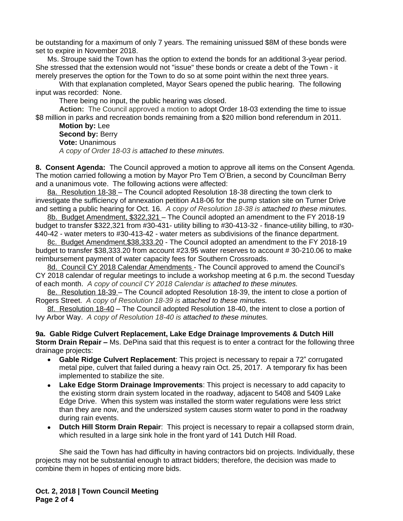be outstanding for a maximum of only 7 years. The remaining unissued \$8M of these bonds were set to expire in November 2018.

Ms. Stroupe said the Town has the option to extend the bonds for an additional 3-year period. She stressed that the extension would not "issue" these bonds or create a debt of the Town - it merely preserves the option for the Town to do so at some point within the next three years.

With that explanation completed, Mayor Sears opened the public hearing. The following input was recorded: None.

There being no input, the public hearing was closed.

**Action:** The Council approved a motion to adopt Order 18-03 extending the time to issue \$8 million in parks and recreation bonds remaining from a \$20 million bond referendum in 2011.

**Motion by:** Lee **Second by: Berry Vote:** Unanimous *A copy of Order 18-03 is attached to these minutes.*

**8. Consent Agenda:** The Council approved a motion to approve all items on the Consent Agenda. The motion carried following a motion by Mayor Pro Tem O'Brien, a second by Councilman Berry and a unanimous vote. The following actions were affected:

8a. Resolution 18-38 - The Council adopted Resolution 18-38 directing the town clerk to investigate the sufficiency of annexation petition A18-06 for the pump station site on Turner Drive and setting a public hearing for Oct. 16. *A copy of Resolution 18-38 is attached to these minutes.*

8b. Budget Amendment, \$322,321 – The Council adopted an amendment to the FY 2018-19 budget to transfer \$322,321 from #30-431- utility billing to #30-413-32 - finance-utility billing, to #30- 440-42 - water meters to #30-413-42 - water meters as subdivisions of the finance department.

8c. Budget Amendment,\$38,333.20 - The Council adopted an amendment to the FY 2018-19 budget to transfer \$38,333.20 from account #23.95 water reserves to account # 30-210.06 to make reimbursement payment of water capacity fees for Southern Crossroads.

8d. Council CY 2018 Calendar Amendments - The Council approved to amend the Council's CY 2018 calendar of regular meetings to include a workshop meeting at 6 p.m. the second Tuesday of each month. *A copy of council CY 2018 Calendar is attached to these minutes.*

8e. Resolution 18-39 – The Council adopted Resolution 18-39, the intent to close a portion of Rogers Street. *A copy of Resolution 18-39 is attached to these minutes.*

8f. Resolution 18-40 – The Council adopted Resolution 18-40, the intent to close a portion of Ivy Arbor Way. *A copy of Resolution 18-40 is attached to these minutes.*

## **9a. Gable Ridge Culvert Replacement, Lake Edge Drainage Improvements & Dutch Hill Storm Drain Repair –** Ms. DePina said that this request is to enter a contract for the following three drainage projects:

- **Gable Ridge Culvert Replacement**: This project is necessary to repair a 72" corrugated metal pipe, culvert that failed during a heavy rain Oct. 25, 2017. A temporary fix has been implemented to stabilize the site.
- **Lake Edge Storm Drainage Improvements**: This project is necessary to add capacity to the existing storm drain system located in the roadway, adjacent to 5408 and 5409 Lake Edge Drive. When this system was installed the storm water regulations were less strict than they are now, and the undersized system causes storm water to pond in the roadway during rain events.
- **Dutch Hill Storm Drain Repair**: This project is necessary to repair a collapsed storm drain, which resulted in a large sink hole in the front yard of 141 Dutch Hill Road.

She said the Town has had difficulty in having contractors bid on projects. Individually, these projects may not be substantial enough to attract bidders; therefore, the decision was made to combine them in hopes of enticing more bids.

**Oct. 2, 2018 | Town Council Meeting Page 2 of 4**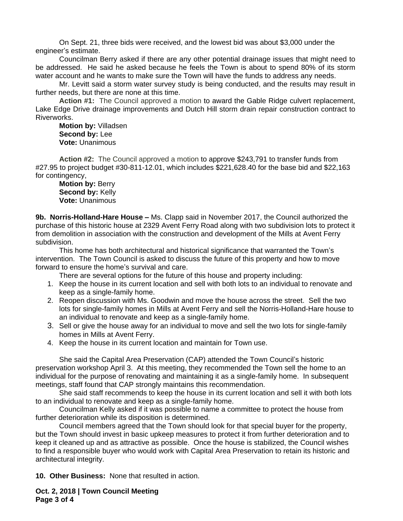On Sept. 21, three bids were received, and the lowest bid was about \$3,000 under the engineer's estimate.

Councilman Berry asked if there are any other potential drainage issues that might need to be addressed. He said he asked because he feels the Town is about to spend 80% of its storm water account and he wants to make sure the Town will have the funds to address any needs.

Mr. Levitt said a storm water survey study is being conducted, and the results may result in further needs, but there are none at this time.

**Action #1:** The Council approved a motion to award the Gable Ridge culvert replacement, Lake Edge Drive drainage improvements and Dutch Hill storm drain repair construction contract to Riverworks.

**Motion by:** Villadsen **Second by:** Lee **Vote:** Unanimous

**Action #2:** The Council approved a motion to approve \$243,791 to transfer funds from #27.95 to project budget #30-811-12.01, which includes \$221,628.40 for the base bid and \$22,163 for contingency,

**Motion by:** Berry **Second by:** Kelly **Vote:** Unanimous

**9b. Norris-Holland-Hare House –** Ms. Clapp said in November 2017, the Council authorized the purchase of this historic house at 2329 Avent Ferry Road along with two subdivision lots to protect it from demolition in association with the construction and development of the Mills at Avent Ferry subdivision.

This home has both architectural and historical significance that warranted the Town's intervention. The Town Council is asked to discuss the future of this property and how to move forward to ensure the home's survival and care.

There are several options for the future of this house and property including:

- 1. Keep the house in its current location and sell with both lots to an individual to renovate and keep as a single-family home.
- 2. Reopen discussion with Ms. Goodwin and move the house across the street. Sell the two lots for single-family homes in Mills at Avent Ferry and sell the Norris-Holland-Hare house to an individual to renovate and keep as a single-family home.
- 3. Sell or give the house away for an individual to move and sell the two lots for single-family homes in Mills at Avent Ferry.
- 4. Keep the house in its current location and maintain for Town use.

She said the Capital Area Preservation (CAP) attended the Town Council's historic preservation workshop April 3. At this meeting, they recommended the Town sell the home to an individual for the purpose of renovating and maintaining it as a single-family home. In subsequent meetings, staff found that CAP strongly maintains this recommendation.

She said staff recommends to keep the house in its current location and sell it with both lots to an individual to renovate and keep as a single-family home.

Councilman Kelly asked if it was possible to name a committee to protect the house from further deterioration while its disposition is determined.

Council members agreed that the Town should look for that special buyer for the property, but the Town should invest in basic upkeep measures to protect it from further deterioration and to keep it cleaned up and as attractive as possible. Once the house is stabilized, the Council wishes to find a responsible buyer who would work with Capital Area Preservation to retain its historic and architectural integrity.

**10. Other Business:** None that resulted in action.

**Oct. 2, 2018 | Town Council Meeting Page 3 of 4**